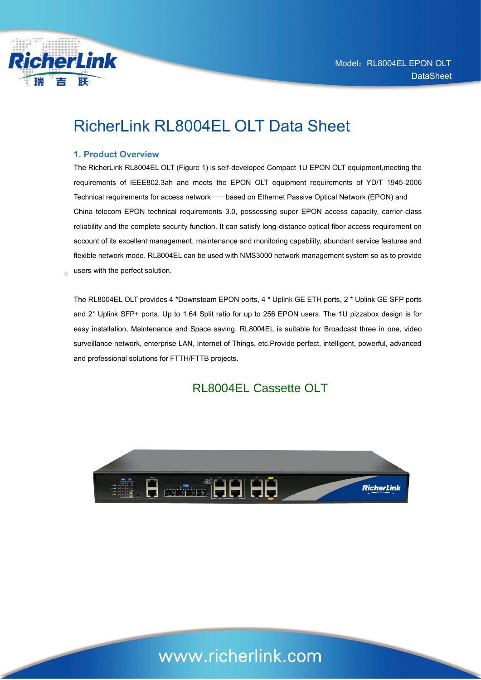

### RicherLink RL8004EL OLT Data Sheet

#### **1. Product Overview**

The RicherLink RL8004EL OLT (Figure 1) is self-developed Compact 1U EPON OLT equipment,meeting the requirements of IEEE802.3ah and meets the EPON OLT equipment requirements of YD/T 1945-2006 Technical requirements for access network——based on Ethernet Passive Optical Network (EPON) and China telecom EPON technical requirements 3.0, possessing super EPON access capacity, carrier-class reliability and the complete security function. It can satisfy long-distance optical fiber access requirement on account of its excellent management, maintenance and monitoring capability, abundant service features and flexible network mode. RL8004EL can be used with NMS3000 network management system so as to provide users with the perfect solution.

The RL8004EL OLT provides 4 \*Downsteam EPON ports, 4 \* Uplink GE ETH ports, 2 \* Uplink GE SFP ports and 2\* Uplink SFP+ ports. Up to 1:64 Split ratio for up to 256 EPON users. The 1U pizzabox design is for easy installation, Maintenance and Space saving. RL8004EL is suitable for Broadcast three in one, video surveillance network, enterprise LAN, Internet of Things, etc.Provide perfect, intelligent, powerful, advanced and professional solutions for FTTH/FTTB projects.

### RL8004EL Cassette OLT



## www.richerlink.com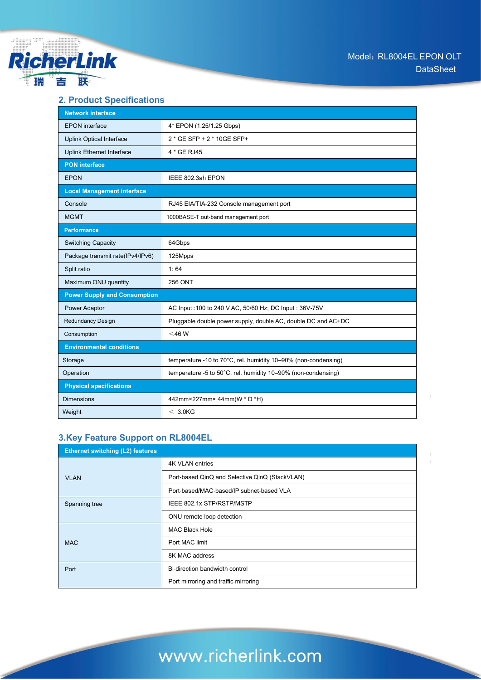

#### **2. Product Specifications**

| <b>Network interface</b>            |                                                                |  |
|-------------------------------------|----------------------------------------------------------------|--|
| <b>EPON</b> interface               | 4* EPON (1.25/1.25 Gbps)                                       |  |
| <b>Uplink Optical Interface</b>     | 2 * GE SFP + 2 * 10GE SFP+                                     |  |
| Uplink Ethernet Interface           | 4 * GE RJ45                                                    |  |
| <b>PON</b> interface                |                                                                |  |
| <b>EPON</b>                         | IEEE 802.3ah EPON                                              |  |
| <b>Local Management interface</b>   |                                                                |  |
| Console                             | RJ45 EIA/TIA-232 Console management port                       |  |
| <b>MGMT</b>                         | 1000BASE-T out-band management port                            |  |
| <b>Performance</b>                  |                                                                |  |
| <b>Switching Capacity</b>           | 64Gbps                                                         |  |
| Package transmit rate(IPv4/IPv6)    | 125Mpps                                                        |  |
| Split ratio                         | 1:64                                                           |  |
| Maximum ONU quantity                | <b>256 ONT</b>                                                 |  |
| <b>Power Supply and Consumption</b> |                                                                |  |
| Power Adaptor                       | AC Input::100 to 240 V AC, 50/60 Hz; DC Input: 36V-75V         |  |
| <b>Redundancy Design</b>            | Pluggable double power supply, double AC, double DC and AC+DC  |  |
| Consumption                         | $<$ 46 W                                                       |  |
| <b>Environmental conditions</b>     |                                                                |  |
| Storage                             | temperature -10 to 70°C, rel. humidity 10–90% (non-condensing) |  |
| Operation                           | temperature -5 to 50°C, rel. humidity 10–90% (non-condensing)  |  |
| <b>Physical specifications</b>      |                                                                |  |
| <b>Dimensions</b>                   | 442mm×227mm×44mm(W * D *H)                                     |  |
| Weight                              | $<$ 3.0KG                                                      |  |

#### **3.Key Feature Support on RL8004EL**

| <b>Ethernet switching (L2) features</b> |                                                |
|-----------------------------------------|------------------------------------------------|
|                                         | <b>4K VLAN entries</b>                         |
| <b>VLAN</b>                             | Port-based QinQ and Selective QinQ (StackVLAN) |
|                                         | Port-based/MAC-based/IP subnet-based VLA       |
| Spanning tree                           | IEEE 802.1x STP/RSTP/MSTP                      |
|                                         | ONU remote loop detection                      |
|                                         | <b>MAC Black Hole</b>                          |
| <b>MAC</b>                              | Port MAC limit                                 |
|                                         | 8K MAC address                                 |
| Port                                    | Bi-direction bandwidth control                 |
|                                         | Port mirroring and traffic mirroring           |

# www.richerlink.com